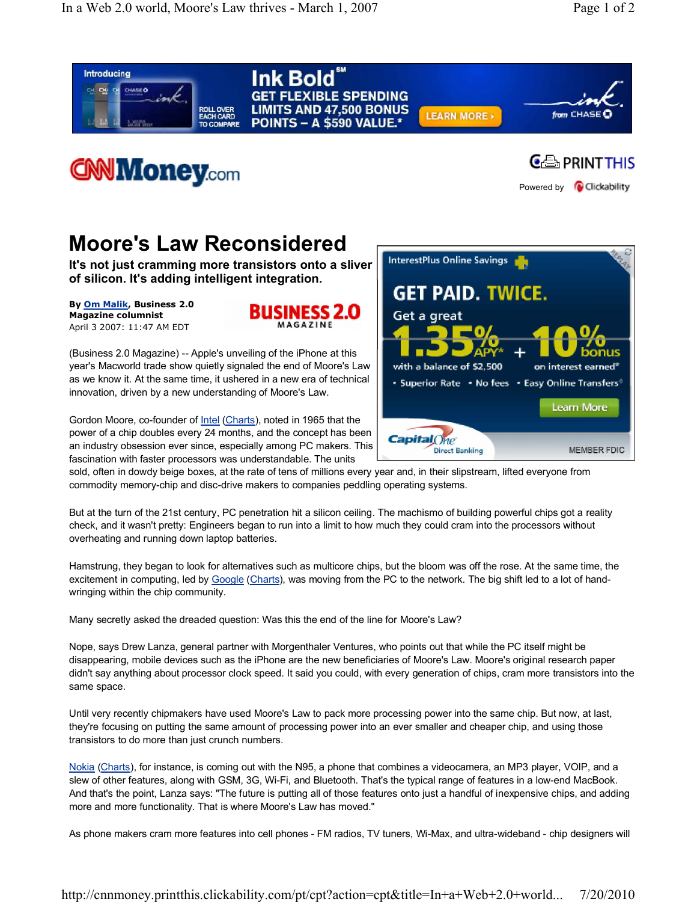

But at the turn of the 21st century, PC penetration hit a silicon ceiling. The machismo of building powerful chips got a reality check, and it wasn't pretty: Engineers began to run into a limit to how much they could cram into the processors without overheating and running down laptop batteries.

Hamstrung, they began to look for alternatives such as multicore chips, but the bloom was off the rose. At the same time, the excitement in computing, led by Google (Charts), was moving from the PC to the network. The big shift led to a lot of handwringing within the chip community.

Many secretly asked the dreaded question: Was this the end of the line for Moore's Law?

Nope, says Drew Lanza, general partner with Morgenthaler Ventures, who points out that while the PC itself might be disappearing, mobile devices such as the iPhone are the new beneficiaries of Moore's Law. Moore's original research paper didn't say anything about processor clock speed. It said you could, with every generation of chips, cram more transistors into the same space.

Until very recently chipmakers have used Moore's Law to pack more processing power into the same chip. But now, at last, they're focusing on putting the same amount of processing power into an ever smaller and cheaper chip, and using those transistors to do more than just crunch numbers.

Nokia (Charts), for instance, is coming out with the N95, a phone that combines a videocamera, an MP3 player, VOIP, and a slew of other features, along with GSM, 3G, Wi-Fi, and Bluetooth. That's the typical range of features in a low-end MacBook. And that's the point, Lanza says: "The future is putting all of those features onto just a handful of inexpensive chips, and adding more and more functionality. That is where Moore's Law has moved."

As phone makers cram more features into cell phones - FM radios, TV tuners, Wi-Max, and ultra-wideband - chip designers will